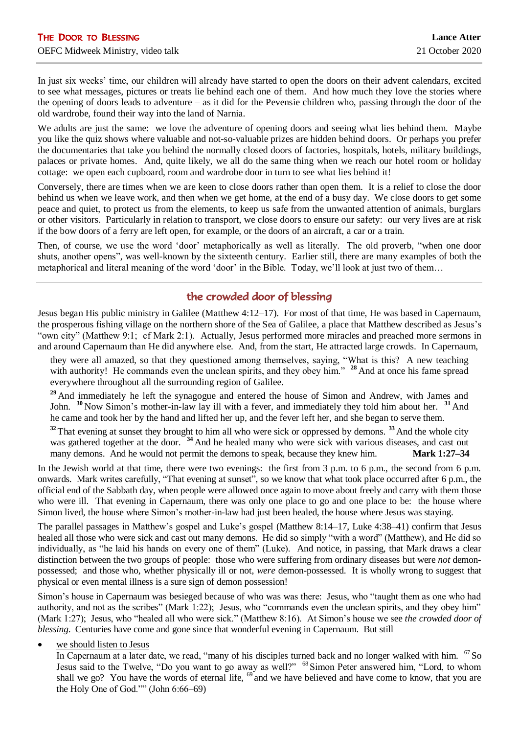In just six weeks' time, our children will already have started to open the doors on their advent calendars, excited to see what messages, pictures or treats lie behind each one of them. And how much they love the stories where the opening of doors leads to adventure – as it did for the Pevensie children who, passing through the door of the old wardrobe, found their way into the land of Narnia.

We adults are just the same: we love the adventure of opening doors and seeing what lies behind them. Maybe you like the quiz shows where valuable and not-so-valuable prizes are hidden behind doors. Or perhaps you prefer the documentaries that take you behind the normally closed doors of factories, hospitals, hotels, military buildings, palaces or private homes. And, quite likely, we all do the same thing when we reach our hotel room or holiday cottage: we open each cupboard, room and wardrobe door in turn to see what lies behind it!

Conversely, there are times when we are keen to close doors rather than open them. It is a relief to close the door behind us when we leave work, and then when we get home, at the end of a busy day. We close doors to get some peace and quiet, to protect us from the elements, to keep us safe from the unwanted attention of animals, burglars or other visitors. Particularly in relation to transport, we close doors to ensure our safety: our very lives are at risk if the bow doors of a ferry are left open, for example, or the doors of an aircraft, a car or a train.

Then, of course, we use the word 'door' metaphorically as well as literally. The old proverb, "when one door shuts, another opens", was well-known by the sixteenth century. Earlier still, there are many examples of both the metaphorical and literal meaning of the word 'door' in the Bible. Today, we'll look at just two of them…

## the crowded door of blessing

Jesus began His public ministry in Galilee (Matthew 4:12–17). For most of that time, He was based in Capernaum, the prosperous fishing village on the northern shore of the Sea of Galilee, a place that Matthew described as Jesus's "own city" (Matthew 9:1; cf Mark 2:1). Actually, Jesus performed more miracles and preached more sermons in and around Capernaum than He did anywhere else. And, from the start, He attracted large crowds. In Capernaum,

they were all amazed, so that they questioned among themselves, saying, "What is this? A new teaching with authority! He commands even the unclean spirits, and they obey him." <sup>28</sup> And at once his fame spread everywhere throughout all the surrounding region of Galilee.

<sup>29</sup> And immediately he left the synagogue and entered the house of Simon and Andrew, with James and John. **<sup>30</sup>** Now Simon's mother-in-law lay ill with a fever, and immediately they told him about her. **<sup>31</sup>** And he came and took her by the hand and lifted her up, and the fever left her, and she began to serve them.

**<sup>32</sup>**That evening at sunset they brought to him all who were sick or oppressed by demons. **<sup>33</sup>** And the whole city was gathered together at the door. <sup>34</sup> And he healed many who were sick with various diseases, and cast out many demons. And he would not permit the demons to speak, because they knew him. **Mark 1:27–34**

In the Jewish world at that time, there were two evenings: the first from 3 p.m. to 6 p.m., the second from 6 p.m. onwards. Mark writes carefully, "That evening at sunset", so we know that what took place occurred after 6 p.m., the official end of the Sabbath day, when people were allowed once again to move about freely and carry with them those who were ill. That evening in Capernaum, there was only one place to go and one place to be: the house where Simon lived, the house where Simon's mother-in-law had just been healed, the house where Jesus was staying.

The parallel passages in Matthew's gospel and Luke's gospel (Matthew 8:14–17, Luke 4:38–41) confirm that Jesus healed all those who were sick and cast out many demons. He did so simply "with a word" (Matthew), and He did so individually, as "he laid his hands on every one of them" (Luke). And notice, in passing, that Mark draws a clear distinction between the two groups of people: those who were suffering from ordinary diseases but were *not* demonpossessed; and those who, whether physically ill or not, *were* demon-possessed. It is wholly wrong to suggest that physical or even mental illness is a sure sign of demon possession!

Simon's house in Capernaum was besieged because of who was was there: Jesus, who "taught them as one who had authority, and not as the scribes" (Mark 1:22); Jesus, who "commands even the unclean spirits, and they obey him" (Mark 1:27); Jesus, who "healed all who were sick." (Matthew 8:16). At Simon's house we see *the crowded door of blessing*. Centuries have come and gone since that wonderful evening in Capernaum. But still

we should listen to Jesus

In Capernaum at a later date, we read, "many of his disciples turned back and no longer walked with him. <sup>67</sup> So Jesus said to the Twelve, "Do you want to go away as well?" <sup>68</sup> Simon Peter answered him, "Lord, to whom shall we go? You have the words of eternal life,  $\frac{69}{9}$  and we have believed and have come to know, that you are the Holy One of God."" (John 6:66–69)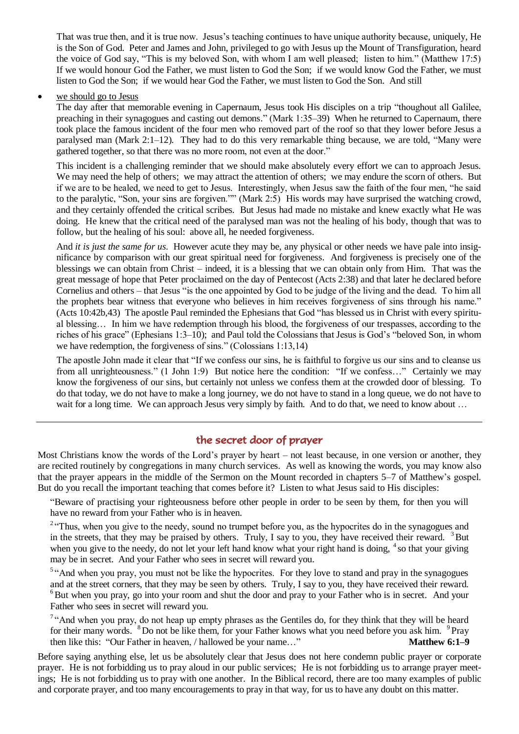That was true then, and it is true now. Jesus's teaching continues to have unique authority because, uniquely, He is the Son of God. Peter and James and John, privileged to go with Jesus up the Mount of Transfiguration, heard the voice of God say, "This is my beloved Son, with whom I am well pleased; listen to him." (Matthew 17:5) If we would honour God the Father, we must listen to God the Son; if we would know God the Father, we must listen to God the Son; if we would hear God the Father, we must listen to God the Son. And still

## • we should go to Jesus

The day after that memorable evening in Capernaum, Jesus took His disciples on a trip "thoughout all Galilee, preaching in their synagogues and casting out demons." (Mark 1:35–39) When he returned to Capernaum, there took place the famous incident of the four men who removed part of the roof so that they lower before Jesus a paralysed man (Mark 2:1–12). They had to do this very remarkable thing because, we are told, "Many were gathered together, so that there was no more room, not even at the door."

This incident is a challenging reminder that we should make absolutely every effort we can to approach Jesus. We may need the help of others; we may attract the attention of others; we may endure the scorn of others. But if we are to be healed, we need to get to Jesus. Interestingly, when Jesus saw the faith of the four men, "he said to the paralytic, "Son, your sins are forgiven."" (Mark 2:5) His words may have surprised the watching crowd, and they certainly offended the critical scribes. But Jesus had made no mistake and knew exactly what He was doing. He knew that the critical need of the paralysed man was not the healing of his body, though that was to follow, but the healing of his soul: above all, he needed forgiveness.

And *it is just the same for us*. However acute they may be, any physical or other needs we have pale into insignificance by comparison with our great spiritual need for forgiveness. And forgiveness is precisely one of the blessings we can obtain from Christ – indeed, it is a blessing that we can obtain only from Him. That was the great message of hope that Peter proclaimed on the day of Pentecost (Acts 2:38) and that later he declared before Cornelius and others – that Jesus "is the one appointed by God to be judge of the living and the dead. To him all the prophets bear witness that everyone who believes in him receives forgiveness of sins through his name." (Acts 10:42b,43) The apostle Paul reminded the Ephesians that God "has blessed us in Christ with every spiritual blessing… In him we have redemption through his blood, the forgiveness of our trespasses, according to the riches of his grace" (Ephesians 1:3–10); and Paul told the Colossians that Jesus is God's "beloved Son, in whom we have redemption, the forgiveness of sins." (Colossians 1:13,14)

The apostle John made it clear that "If we confess our sins, he is faithful to forgive us our sins and to cleanse us from all unrighteousness." (1 John 1:9) But notice here the condition: "If we confess…" Certainly we may know the forgiveness of our sins, but certainly not unless we confess them at the crowded door of blessing. To do that today, we do not have to make a long journey, we do not have to stand in a long queue, we do not have to wait for a long time. We can approach Jesus very simply by faith. And to do that, we need to know about ...

## the secret door of prayer

Most Christians know the words of the Lord's prayer by heart – not least because, in one version or another, they are recited routinely by congregations in many church services. As well as knowing the words, you may know also that the prayer appears in the middle of the Sermon on the Mount recorded in chapters 5–7 of Matthew's gospel. But do you recall the important teaching that comes before it? Listen to what Jesus said to His disciples:

"Beware of practising your righteousness before other people in order to be seen by them, for then you will have no reward from your Father who is in heaven.

<sup>2</sup> "Thus, when you give to the needy, sound no trumpet before you, as the hypocrites do in the synagogues and in the streets, that they may be praised by others. Truly, I say to you, they have received their reward. <sup>3</sup>But when you give to the needy, do not let your left hand know what your right hand is doing,  $4$  so that your giving may be in secret. And your Father who sees in secret will reward you.

<sup>5</sup> "And when you pray, you must not be like the hypocrites. For they love to stand and pray in the synagogues and at the street corners, that they may be seen by others. Truly, I say to you, they have received their reward.  $6$ But when you pray, go into your room and shut the door and pray to your Father who is in secret. And your Father who sees in secret will reward you.

<sup>7</sup> "And when you pray, do not heap up empty phrases as the Gentiles do, for they think that they will be heard for their many words. <sup>8</sup>Do not be like them, for your Father knows what you need before you ask him. <sup>9</sup>Pray then like this: "Our Father in heaven, / hallowed be your name…" **Matthew 6:1–9**

Before saying anything else, let us be absolutely clear that Jesus does not here condemn public prayer or corporate prayer. He is not forbidding us to pray aloud in our public services; He is not forbidding us to arrange prayer meetings; He is not forbidding us to pray with one another. In the Biblical record, there are too many examples of public and corporate prayer, and too many encouragements to pray in that way, for us to have any doubt on this matter.